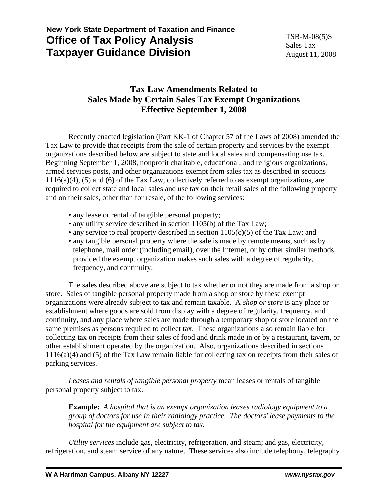# **New York State Department of Taxation and Finance Office of Tax Policy Analysis Taxpayer Guidance Division**

## **Tax Law Amendments Related to Sales Made by Certain Sales Tax Exempt Organizations Effective September 1, 2008**

 Recently enacted legislation (Part KK-1 of Chapter 57 of the Laws of 2008) amended the Tax Law to provide that receipts from the sale of certain property and services by the exempt organizations described below are subject to state and local sales and compensating use tax. Beginning September 1, 2008, nonprofit charitable, educational, and religious organizations, armed services posts, and other organizations exempt from sales tax as described in sections  $1116(a)(4)$ , (5) and (6) of the Tax Law, collectively referred to as exempt organizations, are required to collect state and local sales and use tax on their retail sales of the following property and on their sales, other than for resale, of the following services:

- any lease or rental of tangible personal property;
- any utility service described in section 1105(b) of the Tax Law;
- any service to real property described in section  $1105(c)(5)$  of the Tax Law; and
- any tangible personal property where the sale is made by remote means, such as by telephone, mail order (including email), over the Internet, or by other similar methods, provided the exempt organization makes such sales with a degree of regularity, frequency, and continuity.

 The sales described above are subject to tax whether or not they are made from a shop or store. Sales of tangible personal property made from a shop or store by these exempt organizations were already subject to tax and remain taxable. A *shop or store* is any place or establishment where goods are sold from display with a degree of regularity, frequency, and continuity, and any place where sales are made through a temporary shop or store located on the same premises as persons required to collect tax. These organizations also remain liable for collecting tax on receipts from their sales of food and drink made in or by a restaurant, tavern, or other establishment operated by the organization. Also, organizations described in sections 1116(a)(4) and (5) of the Tax Law remain liable for collecting tax on receipts from their sales of parking services.

*Leases and rentals of tangible personal property* mean leases or rentals of tangible personal property subject to tax.

**Example:** *A hospital that is an exempt organization leases radiology equipment to a group of doctors for use in their radiology practice. The doctors' lease payments to the hospital for the equipment are subject to tax.*

*Utility services* include gas, electricity, refrigeration, and steam; and gas, electricity, refrigeration, and steam service of any nature. These services also include telephony, telegraphy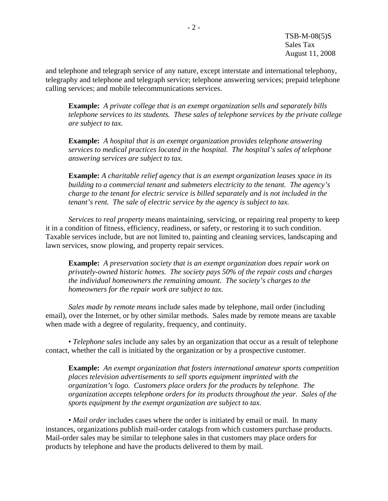and telephone and telegraph service of any nature, except interstate and international telephony, telegraphy and telephone and telegraph service; telephone answering services; prepaid telephone calling services; and mobile telecommunications services.

**Example:** *A private college that is an exempt organization sells and separately bills telephone services to its students. These sales of telephone services by the private college are subject to tax.*

**Example:** *A hospital that is an exempt organization provides telephone answering services to medical practices located in the hospital. The hospital's sales of telephone answering services are subject to tax.*

**Example:** *A charitable relief agency that is an exempt organization leases space in its building to a commercial tenant and submeters electricity to the tenant. The agency's charge to the tenant for electric service is billed separately and is not included in the tenant's rent. The sale of electric service by the agency is subject to tax.*

*Services to real property* means maintaining, servicing, or repairing real property to keep it in a condition of fitness, efficiency, readiness, or safety, or restoring it to such condition. Taxable services include, but are not limited to, painting and cleaning services, landscaping and lawn services, snow plowing, and property repair services.

**Example:** *A preservation society that is an exempt organization does repair work on privately-owned historic homes. The society pays 50% of the repair costs and charges the individual homeowners the remaining amount. The society's charges to the homeowners for the repair work are subject to tax.*

*Sales made by remote means* include sales made by telephone, mail order (including email), over the Internet, or by other similar methods. Sales made by remote means are taxable when made with a degree of regularity, frequency, and continuity.

 • *Telephone sales* include any sales by an organization that occur as a result of telephone contact, whether the call is initiated by the organization or by a prospective customer.

**Example:** *An exempt organization that fosters international amateur sports competition places television advertisements to sell sports equipment imprinted with the organization's logo. Customers place orders for the products by telephone. The organization accepts telephone orders for its products throughout the year. Sales of the sports equipment by the exempt organization are subject to tax.* 

 • *Mail order* includes cases where the order is initiated by email or mail. In many instances, organizations publish mail-order catalogs from which customers purchase products. Mail-order sales may be similar to telephone sales in that customers may place orders for products by telephone and have the products delivered to them by mail.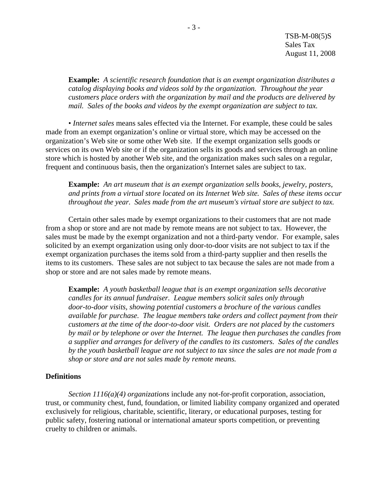TSB-M-08(5)S Sales Tax August 11, 2008

**Example:** *A scientific research foundation that is an exempt organization distributes a catalog displaying books and videos sold by the organization. Throughout the year customers place orders with the organization by mail and the products are delivered by mail. Sales of the books and videos by the exempt organization are subject to tax.*

 • *Internet sales* means sales effected via the Internet. For example, these could be sales made from an exempt organization's online or virtual store, which may be accessed on the organization's Web site or some other Web site. If the exempt organization sells goods or services on its own Web site or if the organization sells its goods and services through an online store which is hosted by another Web site, and the organization makes such sales on a regular, frequent and continuous basis, then the organization's Internet sales are subject to tax.

**Example:** *An art museum that is an exempt organization sells books, jewelry, posters, and prints from a virtual store located on its Internet Web site. Sales of these items occur throughout the year. Sales made from the art museum's virtual store are subject to tax.*

 Certain other sales made by exempt organizations to their customers that are not made from a shop or store and are not made by remote means are not subject to tax. However, the sales must be made by the exempt organization and not a third-party vendor. For example, sales solicited by an exempt organization using only door-to-door visits are not subject to tax if the exempt organization purchases the items sold from a third-party supplier and then resells the items to its customers. These sales are not subject to tax because the sales are not made from a shop or store and are not sales made by remote means.

**Example:** *A youth basketball league that is an exempt organization sells decorative candles for its annual fundraiser. League members solicit sales only through door-to-door visits, showing potential customers a brochure of the various candles available for purchase. The league members take orders and collect payment from their customers at the time of the door-to-door visit. Orders are not placed by the customers by mail or by telephone or over the Internet. The league then purchases the candles from a supplier and arranges for delivery of the candles to its customers. Sales of the candles by the youth basketball league are not subject to tax since the sales are not made from a shop or store and are not sales made by remote means.*

### **Definitions**

*Section 1116(a)(4) organizations* include any not-for-profit corporation, association, trust, or community chest, fund, foundation, or limited liability company organized and operated exclusively for religious, charitable, scientific, literary, or educational purposes, testing for public safety, fostering national or international amateur sports competition, or preventing cruelty to children or animals.